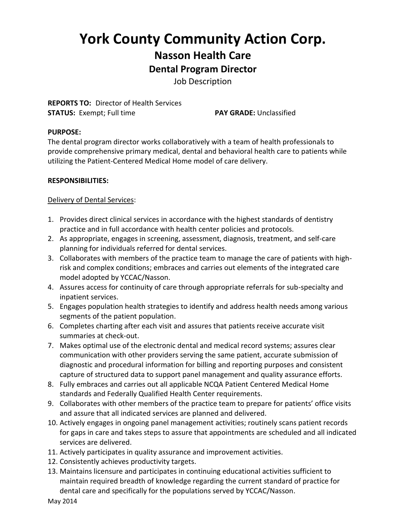# **York County Community Action Corp. Nasson Health Care Dental Program Director**

Job Description

**REPORTS TO:** Director of Health Services **STATUS:** Exempt; Full time **PAY GRADE:** Unclassified

#### **PURPOSE:**

The dental program director works collaboratively with a team of health professionals to provide comprehensive primary medical, dental and behavioral health care to patients while utilizing the Patient-Centered Medical Home model of care delivery.

#### **RESPONSIBILITIES:**

#### Delivery of Dental Services:

- 1. Provides direct clinical services in accordance with the highest standards of dentistry practice and in full accordance with health center policies and protocols.
- 2. As appropriate, engages in screening, assessment, diagnosis, treatment, and self-care planning for individuals referred for dental services.
- 3. Collaborates with members of the practice team to manage the care of patients with highrisk and complex conditions; embraces and carries out elements of the integrated care model adopted by YCCAC/Nasson.
- 4. Assures access for continuity of care through appropriate referrals for sub-specialty and inpatient services.
- 5. Engages population health strategies to identify and address health needs among various segments of the patient population.
- 6. Completes charting after each visit and assures that patients receive accurate visit summaries at check-out.
- 7. Makes optimal use of the electronic dental and medical record systems; assures clear communication with other providers serving the same patient, accurate submission of diagnostic and procedural information for billing and reporting purposes and consistent capture of structured data to support panel management and quality assurance efforts.
- 8. Fully embraces and carries out all applicable NCQA Patient Centered Medical Home standards and Federally Qualified Health Center requirements.
- 9. Collaborates with other members of the practice team to prepare for patients' office visits and assure that all indicated services are planned and delivered.
- 10. Actively engages in ongoing panel management activities; routinely scans patient records for gaps in care and takes steps to assure that appointments are scheduled and all indicated services are delivered.
- 11. Actively participates in quality assurance and improvement activities.
- 12. Consistently achieves productivity targets.
- 13. Maintains licensure and participates in continuing educational activities sufficient to maintain required breadth of knowledge regarding the current standard of practice for dental care and specifically for the populations served by YCCAC/Nasson.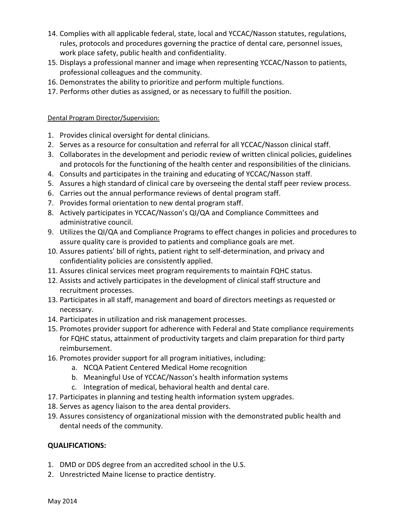- 14. Complies with all applicable federal, state, local and YCCAC/Nasson statutes, regulations, rules, protocols and procedures governing the practice of dental care, personnel issues, work place safety, public health and confidentiality.
- 15. Displays a professional manner and image when representing YCCAC/Nasson to patients, professional colleagues and the community.
- 16. Demonstrates the ability to prioritize and perform multiple functions.
- 17. Performs other duties as assigned, or as necessary to fulfill the position.

#### Dental Program Director/Supervision:

- 1. Provides clinical oversight for dental clinicians.
- 2. Serves as a resource for consultation and referral for all YCCAC/Nasson clinical staff.
- 3. Collaborates in the development and periodic review of written clinical policies, guidelines and protocols for the functioning of the health center and responsibilities of the clinicians.
- 4. Consults and participates in the training and educating of YCCAC/Nasson staff.
- 5. Assures a high standard of clinical care by overseeing the dental staff peer review process.
- 6. Carries out the annual performance reviews of dental program staff.
- 7. Provides formal orientation to new dental program staff.
- 8. Actively participates in YCCAC/Nasson's QI/QA and Compliance Committees and administrative council.
- 9. Utilizes the QI/QA and Compliance Programs to effect changes in policies and procedures to assure quality care is provided to patients and compliance goals are met.
- 10. Assures patients' bill of rights, patient right to self-determination, and privacy and confidentiality policies are consistently applied.
- 11. Assures clinical services meet program requirements to maintain FQHC status.
- 12. Assists and actively participates in the development of clinical staff structure and recruitment processes.
- 13. Participates in all staff, management and board of directors meetings as requested or necessary.
- 14. Participates in utilization and risk management processes.
- 15. Promotes provider support for adherence with Federal and State compliance requirements for FQHC status, attainment of productivity targets and claim preparation for third party reimbursement.
- 16. Promotes provider support for all program initiatives, including:
	- a. NCQA Patient Centered Medical Home recognition
	- b. Meaningful Use of YCCAC/Nasson's health information systems
	- c. Integration of medical, behavioral health and dental care.
- 17. Participates in planning and testing health information system upgrades.
- 18. Serves as agency liaison to the area dental providers.
- 19. Assures consistency of organizational mission with the demonstrated public health and dental needs of the community.

#### **QUALIFICATIONS:**

- 1. DMD or DDS degree from an accredited school in the U.S.
- 2. Unrestricted Maine license to practice dentistry.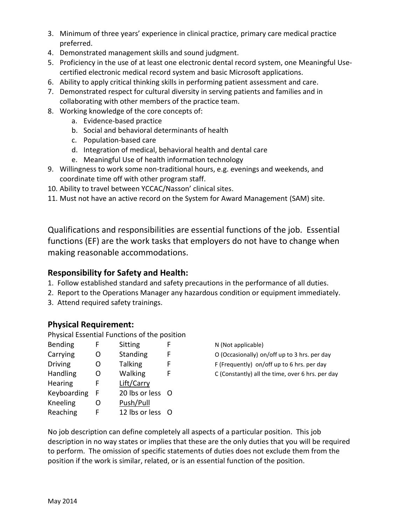- 3. Minimum of three years' experience in clinical practice, primary care medical practice preferred.
- 4. Demonstrated management skills and sound judgment.
- 5. Proficiency in the use of at least one electronic dental record system, one Meaningful Usecertified electronic medical record system and basic Microsoft applications.
- 6. Ability to apply critical thinking skills in performing patient assessment and care.
- 7. Demonstrated respect for cultural diversity in serving patients and families and in collaborating with other members of the practice team.
- 8. Working knowledge of the core concepts of:
	- a. Evidence-based practice
	- b. Social and behavioral determinants of health
	- c. Population-based care
	- d. Integration of medical, behavioral health and dental care
	- e. Meaningful Use of health information technology
- 9. Willingness to work some non-traditional hours, e.g. evenings and weekends, and coordinate time off with other program staff.
- 10. Ability to travel between YCCAC/Nasson' clinical sites.
- 11. Must not have an active record on the System for Award Management (SAM) site.

Qualifications and responsibilities are essential functions of the job. Essential functions (EF) are the work tasks that employers do not have to change when making reasonable accommodations.

### **Responsibility for Safety and Health:**

- 1. Follow established standard and safety precautions in the performance of all duties.
- 2. Report to the Operations Manager any hazardous condition or equipment immediately.
- 3. Attend required safety trainings.

## **Physical Requirement:**

Physical Essential Functions of the position

| <b>Bending</b> | F | Sitting          | F |
|----------------|---|------------------|---|
| Carrying       | റ | <b>Standing</b>  | F |
| <b>Driving</b> | O | <b>Talking</b>   | F |
| Handling       | Ω | Walking          | F |
| Hearing        | F | Lift/Carry       |   |
| Keyboarding    | F | 20 lbs or less O |   |
| Kneeling       | O | Push/Pull        |   |
| Reaching       | F | 12 lbs or less   | O |
|                |   |                  |   |

N (Not applicable)

- O (Occasionally) on/off up to 3 hrs. per day
- $F$  (Frequently) on/off up to 6 hrs. per day
- C (Constantly) all the time, over 6 hrs. per day

No job description can define completely all aspects of a particular position. This job description in no way states or implies that these are the only duties that you will be required to perform. The omission of specific statements of duties does not exclude them from the position if the work is similar, related, or is an essential function of the position.